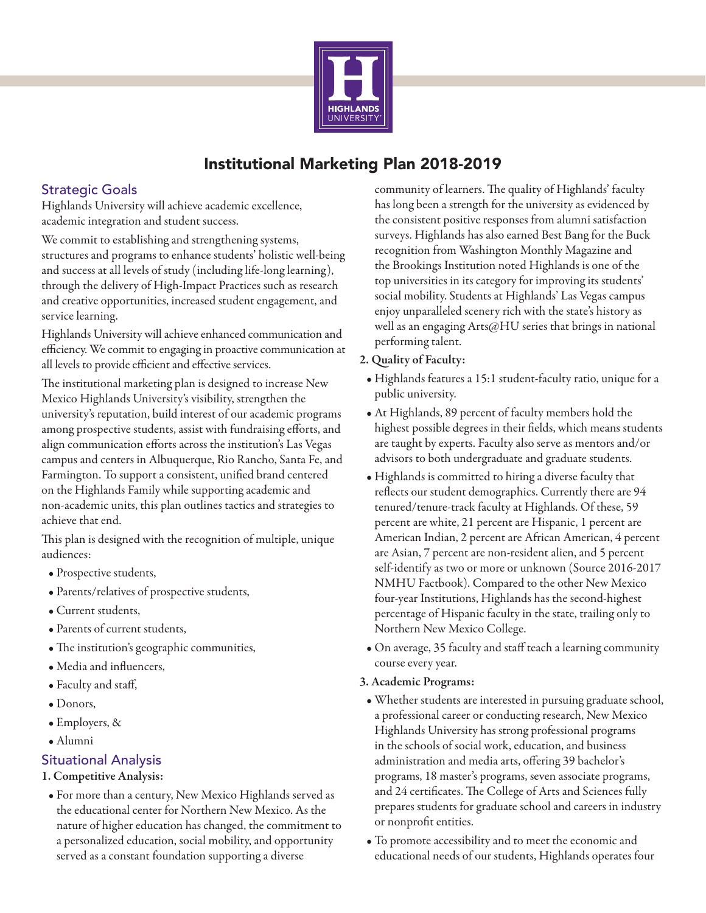

# Institutional Marketing Plan 2018-2019

# Strategic Goals

Highlands University will achieve academic excellence, academic integration and student success.

We commit to establishing and strengthening systems, structures and programs to enhance students' holistic well-being and success at all levels of study (including life-long learning), through the delivery of High-Impact Practices such as research and creative opportunities, increased student engagement, and service learning.

Highlands University will achieve enhanced communication and efficiency. We commit to engaging in proactive communication at all levels to provide efficient and effective services.

The institutional marketing plan is designed to increase New Mexico Highlands University's visibility, strengthen the university's reputation, build interest of our academic programs among prospective students, assist with fundraising efforts, and align communication efforts across the institution's Las Vegas campus and centers in Albuquerque, Rio Rancho, Santa Fe, and Farmington. To support a consistent, unified brand centered on the Highlands Family while supporting academic and non-academic units, this plan outlines tactics and strategies to achieve that end.

This plan is designed with the recognition of multiple, unique audiences:

- Prospective students,
- Parents/relatives of prospective students,
- Current students,
- Parents of current students,
- The institution's geographic communities,
- Media and influencers,
- Faculty and staff,
- Donors,
- Employers, &
- Alumni

# Situational Analysis

# 1. Competitive Analysis:

• For more than a century, New Mexico Highlands served as the educational center for Northern New Mexico. As the nature of higher education has changed, the commitment to a personalized education, social mobility, and opportunity served as a constant foundation supporting a diverse

community of learners. The quality of Highlands' faculty has long been a strength for the university as evidenced by the consistent positive responses from alumni satisfaction surveys. Highlands has also earned Best Bang for the Buck recognition from Washington Monthly Magazine and the Brookings Institution noted Highlands is one of the top universities in its category for improving its students' social mobility. Students at Highlands' Las Vegas campus enjoy unparalleled scenery rich with the state's history as well as an engaging Arts@HU series that brings in national performing talent.

- 2. Quality of Faculty:
- Highlands features a 15:1 student-faculty ratio, unique for a public university.
- At Highlands, 89 percent of faculty members hold the highest possible degrees in their fields, which means students are taught by experts. Faculty also serve as mentors and/or advisors to both undergraduate and graduate students.
- Highlands is committed to hiring a diverse faculty that reflects our student demographics. Currently there are 94 tenured/tenure-track faculty at Highlands. Of these, 59 percent are white, 21 percent are Hispanic, 1 percent are American Indian, 2 percent are African American, 4 percent are Asian, 7 percent are non-resident alien, and 5 percent self-identify as two or more or unknown (Source 2016-2017 NMHU Factbook). Compared to the other New Mexico four-year Institutions, Highlands has the second-highest percentage of Hispanic faculty in the state, trailing only to Northern New Mexico College.
- On average, 35 faculty and staff teach a learning community course every year.

# 3. Academic Programs:

- Whether students are interested in pursuing graduate school, a professional career or conducting research, New Mexico Highlands University has strong professional programs in the schools of social work, education, and business administration and media arts, offering 39 bachelor's programs, 18 master's programs, seven associate programs, and 24 certificates. The College of Arts and Sciences fully prepares students for graduate school and careers in industry or nonprofit entities.
- To promote accessibility and to meet the economic and educational needs of our students, Highlands operates four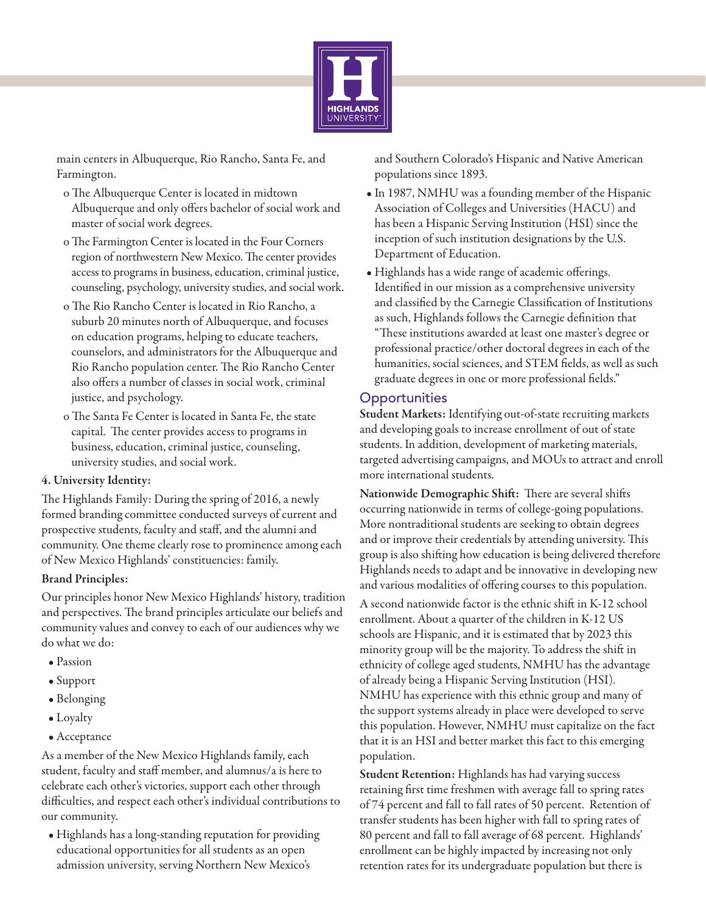

main centers in Albuquerque, Rio Rancho, Santa Fe, and Farmington.

- o The Albuquerque Center is located in midtown Albuquerque and only offers bachelor of social work and master of social work degrees.
- o The Farmington Center is located in the Four Corners region of northwestern New Mexico. The center provides access to programs in business, education, criminal justice, counseling, psychology, university studies, and social work.
- o The Rio Rancho Center is located in Rio Rancho, a suburb 20 minutes north of Albuquerque, and focuses on education programs, helping to educate teachers, counselors, and administrators for the Albuquerque and Rio Rancho population center. The Rio Rancho Center also offers a number of classes in social work, criminal justice, and psychology.
- o The Santa Fe Center is located in Santa Fe, the state capital. The center provides access to programs in business, education, criminal justice, counseling, university studies, and social work.

#### 4. University Identity:

The Highlands Family: During the spring of 2016, a newly formed branding committee conducted surveys of current and prospective students, faculty and staff, and the alumni and community. One theme clearly rose to prominence among each of New Mexico Highlands' constituencies: family.

#### Brand Principles:

Our principles honor New Mexico Highlands' history, tradition and perspectives. The brand principles articulate our beliefs and community values and convey to each of our audiences why we do what we do:

- Passion
- Support
- Belonging
- Loyalty
- Acceptance

As a member of the New Mexico Highlands family, each student, faculty and staff member, and alumnus/a is here to celebrate each other's victories, support each other through difficulties, and respect each other's individual contributions to our community.

• Highlands has a long-standing reputation for providing educational opportunities for all students as an open admission university, serving Northern New Mexico's

and Southern Colorado's Hispanic and Native American populations since 1893.

- In 1987, NMHU was a founding member of the Hispanic Association of Colleges and Universities (HACU) and has been a Hispanic Serving Institution (HSI) since the inception of such institution designations by the U.S. Department of Education.
- Highlands has a wide range of academic offerings. Identified in our mission as a comprehensive university and classified by the Carnegie Classification of Institutions as such, Highlands follows the Carnegie definition that "These institutions awarded at least one master's degree or professional practice/other doctoral degrees in each of the humanities, social sciences, and STEM fields, as well as such graduate degrees in one or more professional fields."

#### **Opportunities**

Student Markets: Identifying out-of-state recruiting markets and developing goals to increase enrollment of out of state students. In addition, development of marketing materials, targeted advertising campaigns, and MOUs to attract and enroll more international students.

Nationwide Demographic Shift: There are several shifts occurring nationwide in terms of college-going populations. More nontraditional students are seeking to obtain degrees and or improve their credentials by attending university. This group is also shifting how education is being delivered therefore Highlands needs to adapt and be innovative in developing new and various modalities of offering courses to this population.

A second nationwide factor is the ethnic shift in K-12 school enrollment. About a quarter of the children in K-12 US schools are Hispanic, and it is estimated that by 2023 this minority group will be the majority. To address the shift in ethnicity of college aged students, NMHU has the advantage of already being a Hispanic Serving Institution (HSI). NMHU has experience with this ethnic group and many of the support systems already in place were developed to serve this population. However, NMHU must capitalize on the fact that it is an HSI and better market this fact to this emerging population.

Student Retention: Highlands has had varying success retaining first time freshmen with average fall to spring rates of 74 percent and fall to fall rates of 50 percent. Retention of transfer students has been higher with fall to spring rates of 80 percent and fall to fall average of 68 percent. Highlands' enrollment can be highly impacted by increasing not only retention rates for its undergraduate population but there is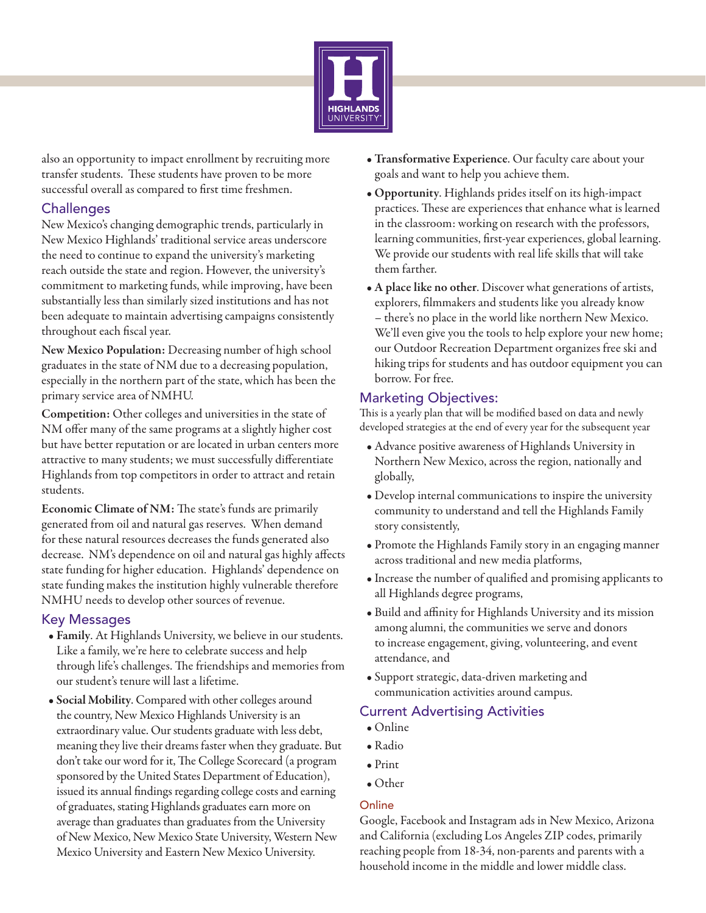

also an opportunity to impact enrollment by recruiting more transfer students. These students have proven to be more successful overall as compared to first time freshmen.

### Challenges

New Mexico's changing demographic trends, particularly in New Mexico Highlands' traditional service areas underscore the need to continue to expand the university's marketing reach outside the state and region. However, the university's commitment to marketing funds, while improving, have been substantially less than similarly sized institutions and has not been adequate to maintain advertising campaigns consistently throughout each fiscal year.

New Mexico Population: Decreasing number of high school graduates in the state of NM due to a decreasing population, especially in the northern part of the state, which has been the primary service area of NMHU.

Competition: Other colleges and universities in the state of NM offer many of the same programs at a slightly higher cost but have better reputation or are located in urban centers more attractive to many students; we must successfully differentiate Highlands from top competitors in order to attract and retain students.

Economic Climate of NM: The state's funds are primarily generated from oil and natural gas reserves. When demand for these natural resources decreases the funds generated also decrease. NM's dependence on oil and natural gas highly affects state funding for higher education. Highlands' dependence on state funding makes the institution highly vulnerable therefore NMHU needs to develop other sources of revenue.

### Key Messages

- Family. At Highlands University, we believe in our students. Like a family, we're here to celebrate success and help through life's challenges. The friendships and memories from our student's tenure will last a lifetime.
- Social Mobility. Compared with other colleges around the country, New Mexico Highlands University is an extraordinary value. Our students graduate with less debt, meaning they live their dreams faster when they graduate. But don't take our word for it, The College Scorecard (a program sponsored by the United States Department of Education), issued its annual findings regarding college costs and earning of graduates, stating Highlands graduates earn more on average than graduates than graduates from the University of New Mexico, New Mexico State University, Western New Mexico University and Eastern New Mexico University.
- Transformative Experience. Our faculty care about your goals and want to help you achieve them.
- Opportunity. Highlands prides itself on its high-impact practices. These are experiences that enhance what is learned in the classroom: working on research with the professors, learning communities, first-year experiences, global learning. We provide our students with real life skills that will take them farther.
- A place like no other. Discover what generations of artists, explorers, filmmakers and students like you already know – there's no place in the world like northern New Mexico. We'll even give you the tools to help explore your new home; our Outdoor Recreation Department organizes free ski and hiking trips for students and has outdoor equipment you can borrow. For free.

### Marketing Objectives:

This is a yearly plan that will be modified based on data and newly developed strategies at the end of every year for the subsequent year

- Advance positive awareness of Highlands University in Northern New Mexico, across the region, nationally and globally,
- Develop internal communications to inspire the university community to understand and tell the Highlands Family story consistently,
- Promote the Highlands Family story in an engaging manner across traditional and new media platforms,
- Increase the number of qualified and promising applicants to all Highlands degree programs,
- Build and affinity for Highlands University and its mission among alumni, the communities we serve and donors to increase engagement, giving, volunteering, and event attendance, and
- Support strategic, data-driven marketing and communication activities around campus.

# Current Advertising Activities

- Online
- Radio
- Print
- Other

### **Online**

Google, Facebook and Instagram ads in New Mexico, Arizona and California (excluding Los Angeles ZIP codes, primarily reaching people from 18-34, non-parents and parents with a household income in the middle and lower middle class.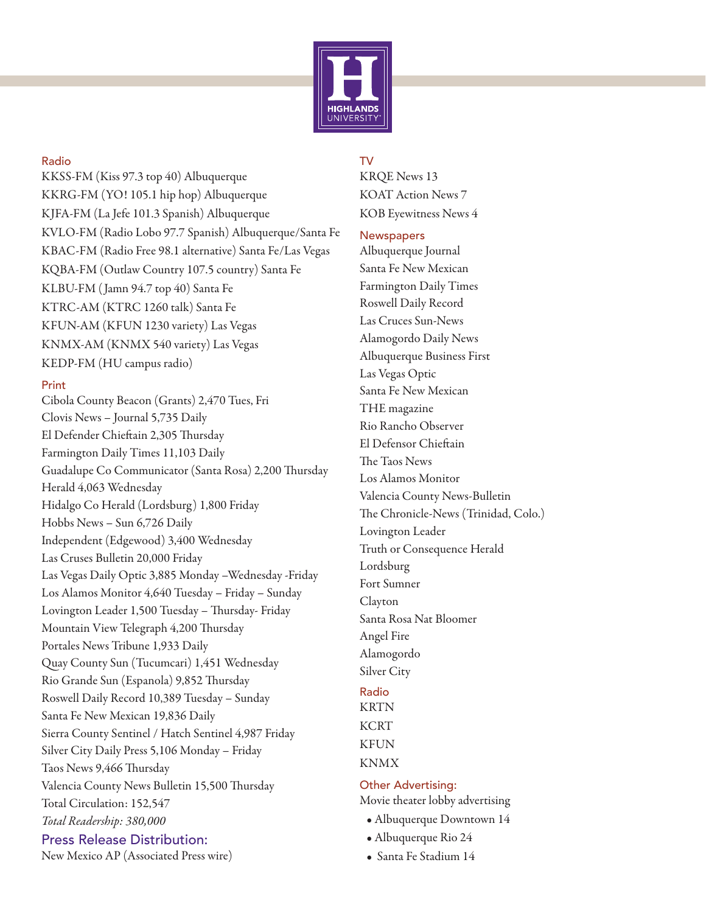

#### Radio

KKSS-FM (Kiss 97.3 top 40) Albuquerque KKRG-FM (YO! 105.1 hip hop) Albuquerque KJFA-FM (La Jefe 101.3 Spanish) Albuquerque KVLO-FM (Radio Lobo 97.7 Spanish) Albuquerque/Santa Fe KBAC-FM (Radio Free 98.1 alternative) Santa Fe/Las Vegas KQBA-FM (Outlaw Country 107.5 country) Santa Fe KLBU-FM ( Jamn 94.7 top 40) Santa Fe KTRC-AM (KTRC 1260 talk) Santa Fe KFUN-AM (KFUN 1230 variety) Las Vegas KNMX-AM (KNMX 540 variety) Las Vegas KEDP-FM (HU campus radio)

#### Print

Cibola County Beacon (Grants) 2,470 Tues, Fri Clovis News – Journal 5,735 Daily El Defender Chieftain 2,305 Thursday Farmington Daily Times 11,103 Daily Guadalupe Co Communicator (Santa Rosa) 2,200 Thursday Herald 4,063 Wednesday Hidalgo Co Herald (Lordsburg) 1,800 Friday Hobbs News – Sun 6,726 Daily Independent (Edgewood) 3,400 Wednesday Las Cruses Bulletin 20,000 Friday Las Vegas Daily Optic 3,885 Monday –Wednesday -Friday Los Alamos Monitor 4,640 Tuesday – Friday – Sunday Lovington Leader 1,500 Tuesday – Thursday- Friday Mountain View Telegraph 4,200 Thursday Portales News Tribune 1,933 Daily Quay County Sun (Tucumcari) 1,451 Wednesday Rio Grande Sun (Espanola) 9,852 Thursday Roswell Daily Record 10,389 Tuesday – Sunday Santa Fe New Mexican 19,836 Daily Sierra County Sentinel / Hatch Sentinel 4,987 Friday Silver City Daily Press 5,106 Monday – Friday Taos News 9,466 Thursday Valencia County News Bulletin 15,500 Thursday Total Circulation: 152,547 *Total Readership: 380,000*

### Press Release Distribution:

New Mexico AP (Associated Press wire)

#### TV

KRQE News 13 KOAT Action News 7 KOB Eyewitness News 4

#### **Newspapers**

Albuquerque Journal Santa Fe New Mexican Farmington Daily Times Roswell Daily Record Las Cruces Sun-News Alamogordo Daily News Albuquerque Business First Las Vegas Optic Santa Fe New Mexican THE magazine Rio Rancho Observer El Defensor Chieftain The Taos News Los Alamos Monitor Valencia County News-Bulletin The Chronicle-News (Trinidad, Colo.) Lovington Leader Truth or Consequence Herald Lordsburg Fort Sumner Clayton Santa Rosa Nat Bloomer Angel Fire Alamogordo Silver City

# Radio

KRTN KCRT KFUN KNMX

Other Advertising: Movie theater lobby advertising

- Albuquerque Downtown 14
- Albuquerque Rio 24
- Santa Fe Stadium 14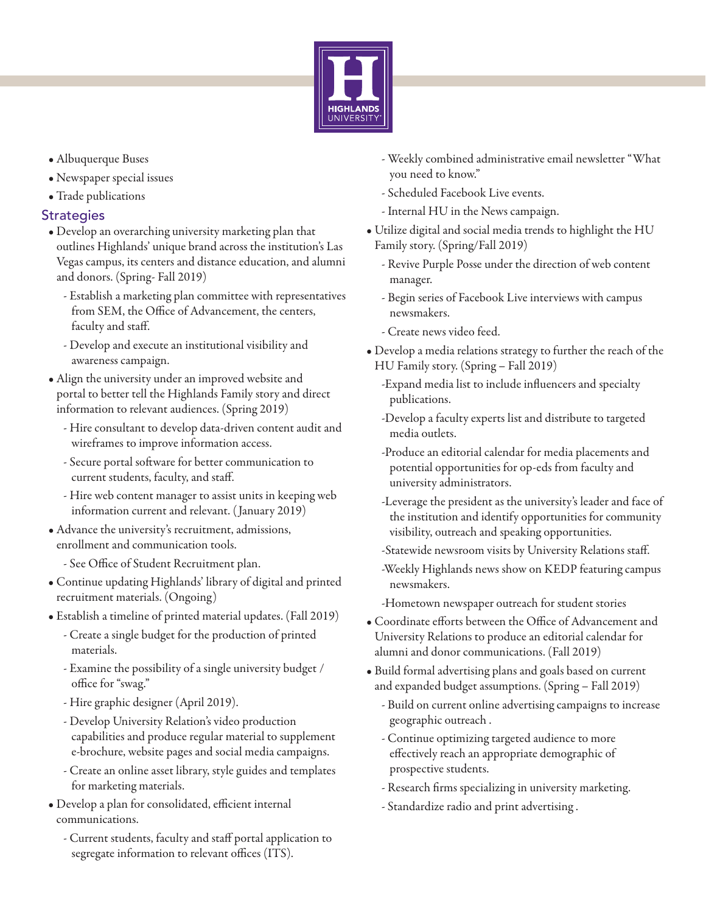

- Albuquerque Buses
- Newspaper special issues
- Trade publications

# **Strategies**

- Develop an overarching university marketing plan that outlines Highlands' unique brand across the institution's Las Vegas campus, its centers and distance education, and alumni and donors. (Spring- Fall 2019)
	- Establish a marketing plan committee with representatives from SEM, the Office of Advancement, the centers, faculty and staff.
	- Develop and execute an institutional visibility and awareness campaign.
- Align the university under an improved website and portal to better tell the Highlands Family story and direct information to relevant audiences. (Spring 2019)
	- Hire consultant to develop data-driven content audit and wireframes to improve information access.
	- Secure portal software for better communication to current students, faculty, and staff.
	- Hire web content manager to assist units in keeping web information current and relevant. ( January 2019)
- Advance the university's recruitment, admissions, enrollment and communication tools.
	- See Office of Student Recruitment plan.
- Continue updating Highlands' library of digital and printed recruitment materials. (Ongoing)
- Establish a timeline of printed material updates. (Fall 2019)
	- Create a single budget for the production of printed materials.
	- Examine the possibility of a single university budget / office for "swag."
	- Hire graphic designer (April 2019).
	- Develop University Relation's video production capabilities and produce regular material to supplement e-brochure, website pages and social media campaigns.
	- Create an online asset library, style guides and templates for marketing materials.
- Develop a plan for consolidated, efficient internal communications.
	- Current students, faculty and staff portal application to segregate information to relevant offices (ITS).
- Weekly combined administrative email newsletter "What you need to know."
- Scheduled Facebook Live events.
- Internal HU in the News campaign.
- Utilize digital and social media trends to highlight the HU Family story. (Spring/Fall 2019)
	- Revive Purple Posse under the direction of web content manager.
	- Begin series of Facebook Live interviews with campus newsmakers.
	- Create news video feed.
- Develop a media relations strategy to further the reach of the HU Family story. (Spring – Fall 2019)
	- -Expand media list to include influencers and specialty publications.
	- -Develop a faculty experts list and distribute to targeted media outlets.
	- -Produce an editorial calendar for media placements and potential opportunities for op-eds from faculty and university administrators.
	- -Leverage the president as the university's leader and face of the institution and identify opportunities for community visibility, outreach and speaking opportunities.
	- -Statewide newsroom visits by University Relations staff.
	- -Weekly Highlands news show on KEDP featuring campus newsmakers.
	- -Hometown newspaper outreach for student stories
- Coordinate efforts between the Office of Advancement and University Relations to produce an editorial calendar for alumni and donor communications. (Fall 2019)
- Build formal advertising plans and goals based on current and expanded budget assumptions. (Spring – Fall 2019)
	- Build on current online advertising campaigns to increase geographic outreach .
	- Continue optimizing targeted audience to more effectively reach an appropriate demographic of prospective students.
	- Research firms specializing in university marketing.
	- Standardize radio and print advertising .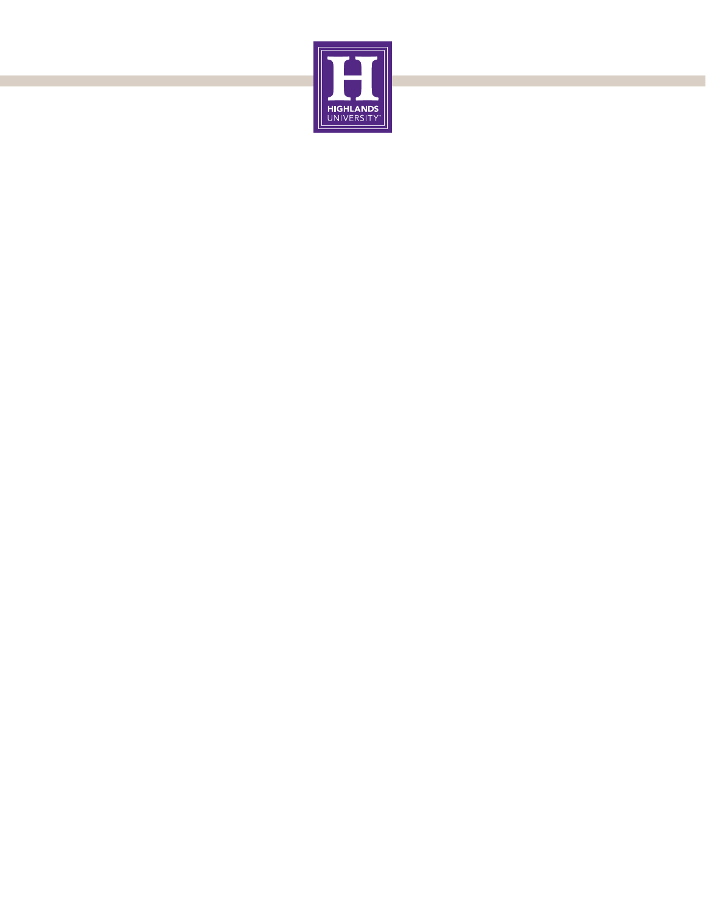